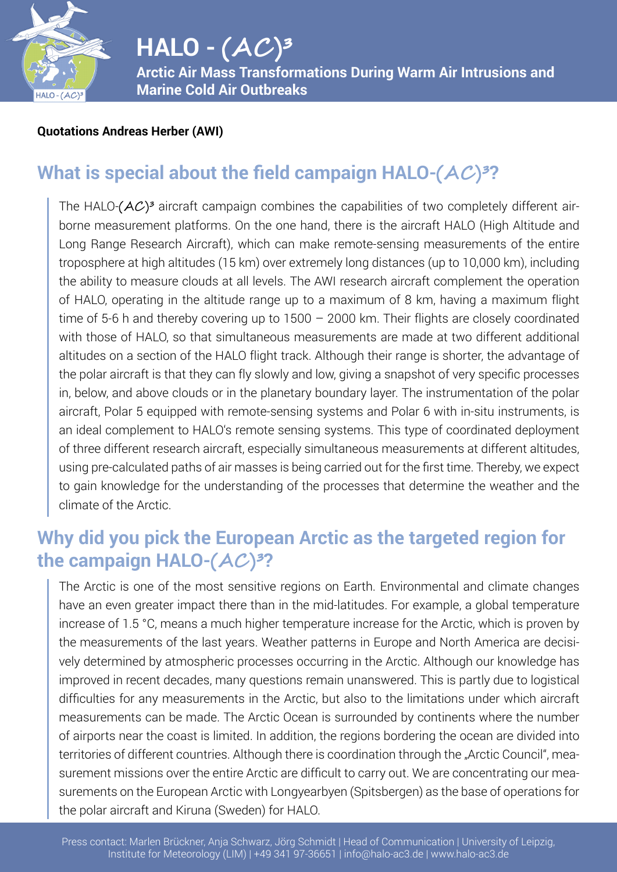

## $HALO - (AC)^3$ **Arctic Air Mass Transformations During Warm Air Intrusions and**

**Marine Cold Air Outbreaks**

#### **Quotations Andreas Herber (AWI)**

### **What is special about the field campaign HALO-** $(AC)^3$ **?**

The HALO- $(AC)^3$  aircraft campaign combines the capabilities of two completely different airborne measurement platforms. On the one hand, there is the aircraft HALO (High Altitude and Long Range Research Aircraft), which can make remote-sensing measurements of the entire troposphere at high altitudes (15 km) over extremely long distances (up to 10,000 km), including the ability to measure clouds at all levels. The AWI research aircraft complement the operation of HALO, operating in the altitude range up to a maximum of 8 km, having a maximum flight time of 5-6 h and thereby covering up to 1500 – 2000 km. Their flights are closely coordinated with those of HALO, so that simultaneous measurements are made at two different additional altitudes on a section of the HALO flight track. Although their range is shorter, the advantage of the polar aircraft is that they can fly slowly and low, giving a snapshot of very specific processes in, below, and above clouds or in the planetary boundary layer. The instrumentation of the polar aircraft, Polar 5 equipped with remote-sensing systems and Polar 6 with in-situ instruments, is an ideal complement to HALO's remote sensing systems. This type of coordinated deployment of three different research aircraft, especially simultaneous measurements at different altitudes, using pre-calculated paths of air masses is being carried out for the first time. Thereby, we expect to gain knowledge for the understanding of the processes that determine the weather and the climate of the Arctic.

### **Why did you pick the European Arctic as the targeted region for the campaign HALO-** $(AC)^3$ **?**

The Arctic is one of the most sensitive regions on Earth. Environmental and climate changes have an even greater impact there than in the mid-latitudes. For example, a global temperature increase of 1.5 °C, means a much higher temperature increase for the Arctic, which is proven by the measurements of the last years. Weather patterns in Europe and North America are decisively determined by atmospheric processes occurring in the Arctic. Although our knowledge has improved in recent decades, many questions remain unanswered. This is partly due to logistical difficulties for any measurements in the Arctic, but also to the limitations under which aircraft measurements can be made. The Arctic Ocean is surrounded by continents where the number of airports near the coast is limited. In addition, the regions bordering the ocean are divided into territories of different countries. Although there is coordination through the "Arctic Council", measurement missions over the entire Arctic are difficult to carry out. We are concentrating our measurements on the European Arctic with Longyearbyen (Spitsbergen) as the base of operations for the polar aircraft and Kiruna (Sweden) for HALO.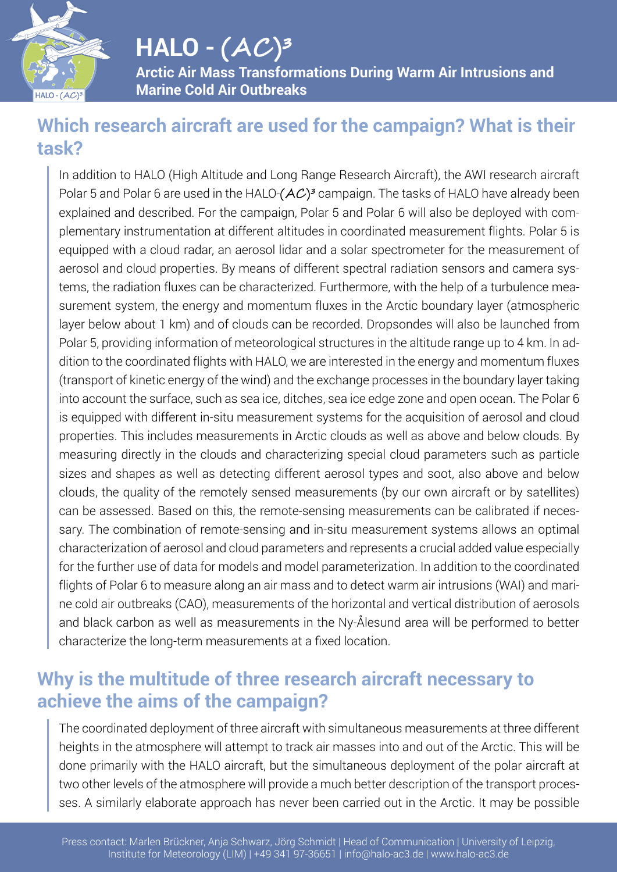

## **HALO - (AC )³**

**Arctic Air Mass Transformations During Warm Air Intrusions and Marine Cold Air Outbreaks**

#### **Which research aircraft are used for the campaign? What is their task?**

In addition to HALO (High Altitude and Long Range Research Aircraft), the AWI research aircraft Polar 5 and Polar 6 are used in the HALO- $(AC)^3$  campaign. The tasks of HALO have already been explained and described. For the campaign, Polar 5 and Polar 6 will also be deployed with complementary instrumentation at different altitudes in coordinated measurement flights. Polar 5 is equipped with a cloud radar, an aerosol lidar and a solar spectrometer for the measurement of aerosol and cloud properties. By means of different spectral radiation sensors and camera systems, the radiation fluxes can be characterized. Furthermore, with the help of a turbulence measurement system, the energy and momentum fluxes in the Arctic boundary layer (atmospheric layer below about 1 km) and of clouds can be recorded. Dropsondes will also be launched from Polar 5, providing information of meteorological structures in the altitude range up to 4 km. In addition to the coordinated flights with HALO, we are interested in the energy and momentum fluxes (transport of kinetic energy of the wind) and the exchange processes in the boundary layer taking into account the surface, such as sea ice, ditches, sea ice edge zone and open ocean. The Polar 6 is equipped with different in-situ measurement systems for the acquisition of aerosol and cloud properties. This includes measurements in Arctic clouds as well as above and below clouds. By measuring directly in the clouds and characterizing special cloud parameters such as particle sizes and shapes as well as detecting different aerosol types and soot, also above and below clouds, the quality of the remotely sensed measurements (by our own aircraft or by satellites) can be assessed. Based on this, the remote-sensing measurements can be calibrated if necessary. The combination of remote-sensing and in-situ measurement systems allows an optimal characterization of aerosol and cloud parameters and represents a crucial added value especially for the further use of data for models and model parameterization. In addition to the coordinated flights of Polar 6 to measure along an air mass and to detect warm air intrusions (WAI) and marine cold air outbreaks (CAO), measurements of the horizontal and vertical distribution of aerosols and black carbon as well as measurements in the Ny-Ålesund area will be performed to better characterize the long-term measurements at a fixed location.

### **Why is the multitude of three research aircraft necessary to achieve the aims of the campaign?**

The coordinated deployment of three aircraft with simultaneous measurements at three different heights in the atmosphere will attempt to track air masses into and out of the Arctic. This will be done primarily with the HALO aircraft, but the simultaneous deployment of the polar aircraft at two other levels of the atmosphere will provide a much better description of the transport processes. A similarly elaborate approach has never been carried out in the Arctic. It may be possible